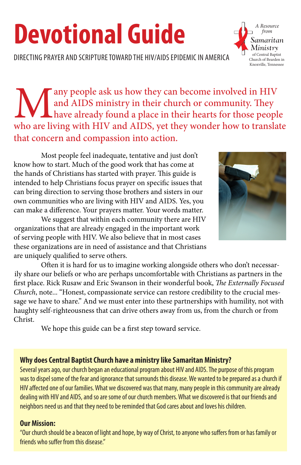# **Devotional Guide**

DIRECTING PRAYER AND SCRIPTURE TOWARD THE HIV/AIDS EPIDEMIC IN AMERICA

Many people ask us how they can become involved in HIV and AIDS ministry in their church or community. They have already found a place in their hearts for those people who are living with HIV and AIDS, yet they wonder how and AIDS ministry in their church or community. They have already found a place in their hearts for those people who are living with HIV and AIDS, yet they wonder how to translate that concern and compassion into action.

Most people feel inadequate, tentative and just don't know how to start. Much of the good work that has come at the hands of Christians has started with prayer. This guide is intended to help Christians focus prayer on specific issues that can bring direction to serving those brothers and sisters in our own communities who are living with HIV and AIDS. Yes, you can make a difference. Your prayers matter. Your words matter.

 We suggest that within each community there are HIV organizations that are already engaged in the important work of serving people with HIV. We also believe that in most cases these organizations are in need of assistance and that Christians are uniquely qualified to serve others.

 Often it is hard for us to imagine working alongside others who don't necessarily share our beliefs or who are perhaps uncomfortable with Christians as partners in the first place. Rick Rusaw and Eric Swanson in their wonderful book, *The Externally Focused Church*, note... "Honest, compassionate service can restore credibility to the crucial message we have to share." And we must enter into these partnerships with humility, not with haughty self-righteousness that can drive others away from us, from the church or from Christ.

 We hope this guide can be a first step toward service.

#### **Why does Central Baptist Church have a ministry like Samaritan Ministry?**

Several years ago, our church began an educational program about HIV and AIDS. The purpose of this program was to dispel some of the fear and ignorance that surrounds this disease. We wanted to be prepared as a church if HIV affected one of our families. What we discovered was that many, many people in this community are already dealing with HIV and AIDS, and so are some of our church members. What we discovered is that our friends and neighbors need us and that they need to be reminded that God cares about and loves his children.

#### **Our Mission:**

"Our church should be a beacon of light and hope, by way of Christ, to anyone who suffers from or has family or friends who suffer from this disease."



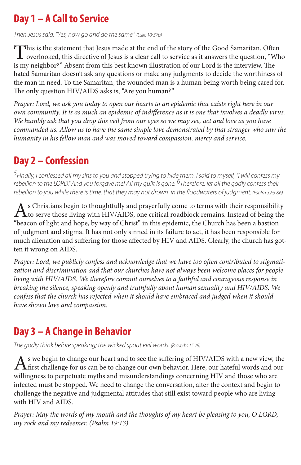### **Day 1 – A Call to Service**

*Then Jesus said, "Yes, now go and do the same." (Luke 10: 37b)*

This is the statement that Jesus made at the end of the story of the Good Samaritan. Often  $\blacktriangle$  overlooked, this directive of Jesus is a clear call to service as it answers the question, "Who is my neighbor?" Absent from this best known illustration of our Lord is the interview. The hated Samaritan doesn't ask any questions or make any judgments to decide the worthiness of the man in need. To the Samaritan, the wounded man is a human being worth being cared for. The only question HIV/AIDS asks is, "Are you human?"

*Prayer: Lord, we ask you today to open our hearts to an epidemic that exists right here in our own community. It is as much an epidemic of indifference as it is one that involves a deadly virus. We humbly ask that you drop this veil from our eyes so we may see, act and love as you have commanded us. Allow us to have the same simple love demonstrated by that stranger who saw the humanity in his fellow man and was moved toward compassion, mercy and service.*

## **Day 2 – Confession**

*5Finally, I confessed all my sins to you and stopped trying to hide them. I said to myself, "I will confess my*  rebellion to the LORD." And you forgave me! All my guilt is gone. <sup>6</sup>Therefore, let all the godly confess their *rebellion to you while there is time, that they may not drown in the floodwaters of judgment. (Psalm 32:5 &6)*

As Christians begin to thoughtfully and prayerfully come to terms with their responsibility<br>to serve those living with HIV/AIDS, one critical roadblock remains. Instead of being the<br>served by the collumn of the collumn of "beacon of light and hope, by way of Christ" in this epidemic, the Church has been a bastion of judgment and stigma. It has not only sinned in its failure to act, it has been responsible for much alienation and suffering for those affected by HIV and AIDS. Clearly, the church has gotten it wrong on AIDS.

*Prayer: Lord, we publicly confess and acknowledge that we have too often contributed to stigmatization and discrimination and that our churches have not always been welcome places for people living with HIV/AIDS. We therefore commit ourselves to a faithful and courageous response in breaking the silence, speaking openly and truthfully about human sexuality and HIV/AIDS. We confess that the church has rejected when it should have embraced and judged when it should have shown love and compassion.*

#### **Day 3 – A Change in Behavior**

*The godly think before speaking; the wicked spout evil words. (Proverbs 15:28)*

As we begin to change our heart and to see the suffering of HIV/AIDS with <sup>a</sup> new view, the **Th** first challenge for us can be to change our own behavior. Here, our hateful words and our willingness to perpetuate myths and misunderstandings concerning HIV and those who are infected must be stopped. We need to change the conversation, alter the context and begin to challenge the negative and judgmental attitudes that still exist toward people who are living with HIV and AIDS.

*Prayer: May the words of my mouth and the thoughts of my heart be pleasing to you, O LORD, my rock and my redeemer. (Psalm 19:13)*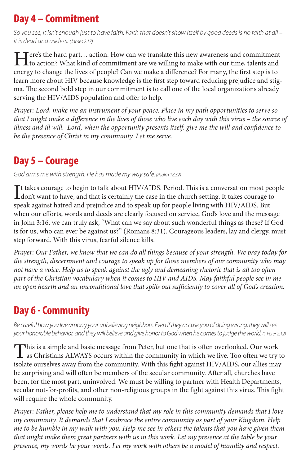### **Day 4 – Commitment**

*So you see, it isn't enough just to have faith. Faith that doesn't show itself by good deeds is no faith at all – it is dead and useless. (James 2:17)*

Here's the hard part... action. How can we translate this new awareness and commitment<br>to action? What kind of commitment are we willing to make with our time, talents and energy to change the lives of people? Can we make a difference? For many, the first step is to learn more about HIV because knowledge is the first step toward reducing prejudice and stigma. The second bold step in our commitment is to call one of the local organizations already serving the HIV/AIDS population and offer to help.

*Prayer: Lord, make me an instrument of your peace. Place in my path opportunities to serve so that I might make a difference in the lives of those who live each day with this virus – the source of illness and ill will. Lord, when the opportunity presents itself, give me the will and confidence to be the presence of Christ in my community. Let me serve.*

#### **Day 5 – Courage**

*God arms me with strength. He has made my way safe. (Psalm 18:32)*

It takes courage to begin to talk about HIV/AIDS. Period. This is a conversation most people<br>don't want to have, and that is certainly the case in the church setting. It takes courage to don't want to have, and that is certainly the case in the church setting. It takes courage to speak against hatred and prejudice and to speak up for people living with HIV/AIDS. But when our efforts, words and deeds are clearly focused on service, God's love and the message in John 3:16, we can truly ask, "What can we say about such wonderful things as these? If God is for us, who can ever be against us?" (Romans 8:31). Courageous leaders, lay and clergy, must step forward. With this virus, fearful silence kills.

*Prayer: Our Father, we know that we can do all things because of your strength. We pray today for the strength, discernment and courage to speak up for those members of our community who may not have a voice. Help us to speak against the ugly and demeaning rhetoric that is all too often part of the Christian vocabulary when it comes to HIV and AIDS. May faithful people see in me an open hearth and an unconditional love that spills out sufficiently to cover all of God's creation.*

# **Day 6 - Community**

*Be careful how you live among your unbelieving neighbors. Even if they accuse you of doing wrong, they will see your honorable behavior, and they will believe and give honor to God when he comes to judge the world. (1 Peter 2:12)*

This is a simple and basic message from Peter, but one that is often overlooked. Our work<br>as Christians ALWAYS occurs within the community in which we live. Too often we try to<br>indicate the community With this fight projec isolate ourselves away from the community. With this fight against HIV/AIDS, our allies may be surprising and will often be members of the secular community. After all, churches have been, for the most part, uninvolved. We must be willing to partner with Health Departments, secular not-for-profits, and other non-religious groups in the fight against this virus. This fight will require the whole community.

*Prayer: Father, please help me to understand that my role in this community demands that I love my community. It demands that I embrace the entire community as part of your Kingdom. Help me to be humble in my walk with you. Help me see in others the talents that you have given them that might make them great partners with us in this work. Let my presence at the table be your presence, my words be your words. Let my work with others be a model of humility and respect.*